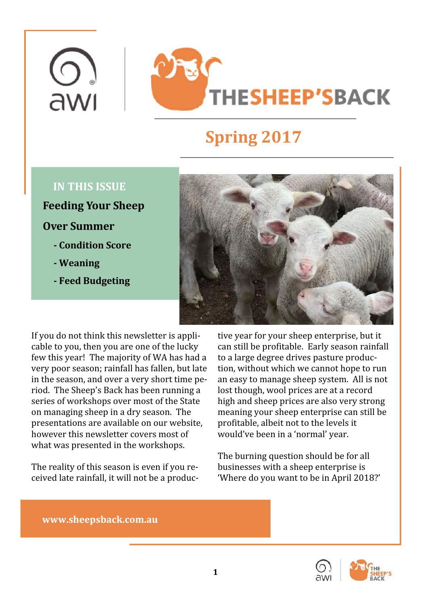# **THESHEEP'SBACK**

# **Spring 2017**

 $\overline{C}$ 

awı

- 
- 
- **Feed Budgeting**



If you do not think this newsletter is appli-<br>cable to you, then you are one of the lucky cable to you, then you are one of the lucky can still be profitable. Early season rainfall  $\qquad$ few this year! The majority of WA has had a  $\;$  to a large degree drives pasture produc-  $\;$   $\;$   $\;$ very poor season; rainfall has fallen, but late tion, without which we cannot hope to run <mark>\_</mark> in the season, and over a very short time period. The Sheep's Back has been running a riod. The Sheep's Back has been running a lost though, wool prices are at a record <mark>|</mark> series of workshops over most of the State ——high and sheep prices are also very strong — on managing sheep in a dry season. The state meaning your sheep enterprise can still be stated by a presentations are available on our website, profitable, albeit not to the levels it \_\_\_\_\_\_\_\_\_\_\_\_\_\_ however this newsletter covers most of would've been in a 'normal' year.  $\hbox{\large\it I}$ what was presented in the workshops. The mass of the set of the set of the set of the set of the set of the set of the set of the set of the set of the set of the set of the set of the set of the set of the set of the set

The reality of this season is even if you received late rainfall, it will not be a produc-

tive year for your sheep enterprise, but it can still be profitable. Early season rainfall to a large degree drives pasture produc-<br>tion, without which we cannot hope to run tion, without which we cannot hope to run an easy to manage sheep system. All is not lost though, wool prices are at a record high and sheep prices are also very strong meaning your sheep enterprise can still be profitable, albeit not to the levels it would've been in a 'normal' year.

The burning question should be for all businesses with a sheep enterprise is **the properties** 'Where do you want to be in April 2018?'

# **www.sheepsback.com.au**



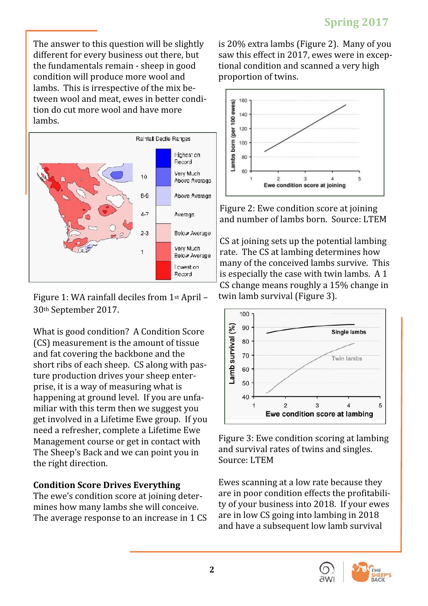condition will produce more wool and lambs. This is irrespective of the mix between wool and meat, ewes in better condition do cut more wool and have more tion do cut more wool and have more



Figure 1: WA rainfall deciles from 1st April –

What is good condition? A Condition Score  $\left|\frac{e}{2}\right|$ (CS) measurement is the amount of tissue  $\left[\begin{array}{c} 8 \ 8 \end{array}\right]$ and fat covering the backbone and the  $\frac{1}{2}$  70  $\frac{1}{2}$  70  $\frac{1}{2}$  Twin lambs short ribs of each sheep. CS along with pasture production drives your sheep enter-<br>prise, it is a way of measuring what is prise, it is a way of measuring what is happening at ground level. If you are unfa-<br>miliar with this term then we suggest you miliar with this term then we suggest you  $\overline{E}$   $\overline{E}$   $\overline{E}$  and  $\overline{E}$   $\overline{E}$  and  $\overline{E}$   $\overline{E}$  and  $\overline{E}$   $\overline{E}$  and  $\overline{E}$   $\overline{E}$  and  $\overline{E}$   $\overline{E}$  and  $\overline{E}$   $\overline{E}$  and  $\overline{E}$   $\overline{E}$ get involved in a Lifetime Ewe group. If you need a refresher, complete a Lifetime Ewe Management course or get in contact with right b. Lwe condition scoring at lambing The Sheep's Back and we can point you in The Sheep's Back and we can point you in the right direction. The course of the source. Even the country of the country of the country of the country of  $\sim$ 

The ewe's condition score at joining deter-<br>mines how many lambs she will conceive. mines how many lambs she will conceive. They are in low CS going into Lyncol. If you ewes

The answer to this question will be slightly is 20% extra lambs (Figure 2). Many of you different for every business out there, but the fundamentals remain - sheep in good is 20% extra lambs (Figure 2). Many of you saw this effect in 2017, ewes were in exceptional condition and scanned a very high tional condition and scanned a very high proportion of twins.



Figure 2: Ewe condition score at joining and number of lambs born. Source: LTEM

CS at joining sets up the potential lambing rate. The CS at lambing determines how many of the conceived lambs survive. This is especially the case with twin lambs. A 1 CS change means roughly a 15% change in twin lamb survival (Figure 3).



Figure 3: Ewe condition scoring at lambing and survival rates of twins and singles. Source: LTEM and the set of the set of the set of the set of the set of the set of the set of the set of the set of the set of the set of the set of the set of the set of the set of the set of the set of the set of the set

**Condition Score Drives Everything** The average response to an increase in  $1 \text{ CS}$  are in low to going into lambing in 2010 Ewes scanning at a low rate because they are in poor condition effects the profitability of your business into 2018. If your ewes ty of your business into 2018. If your ewes are in low CS going into lambing in 2018 and have a subsequent low lamb survival



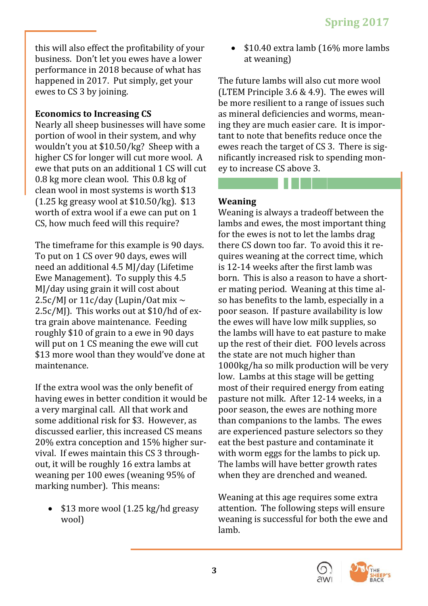this will also effect the profitability of your business. Don't let you ewes have a lower performance in 2018 because of what has

Nearly all sheep businesses will have some portion of wool in their system, and why wouldn't you at \$10.50/kg? Sheep with a higher CS for longer will cut more wool. A ewe that puts on an additional 1 CS will cut ey to increase CS above 3. 0.8 kg more clean wool. This 0.8 kg of the state of the state of the state of the state of the state of the sta clean wool in most systems is worth \$13 and the control of the control of the control of the control of the control of the control of the control of the control of the control of the control of the control of the control o (1.25 kg greasy wool at \$10.50/kg).  $\$13$  Weaning  $\blacksquare$ 

 $2.5c/M$ ]. This works out at \$10/hd of ex-<br>tra grain above maintenance. Feeding

20% extra conception and 15% higher survival. If ewes maintain this CS 3 throughweaning per 100 ewes (weaning 95% of when they are drenched and weaned.  $\hfill$ marking number). This means:

 \$10.40 extra lamb (16% more lambs at weaning)

happened in 2017. Put simply, get your ewes to CS 3 by joining. **Economics to Increasing CS** The future lambs will also cut more wool (LTEM Principle 3.6 & 4.9). The ewes will be more resilient to a range of issues such as mineral deficiencies and worms, meaning they are much easier care. It is important to note that benefits reduce once the ewes reach the target of CS 3. There is significantly increased risk to spending mon-<br>ey to increase CS above 3. ey to increase CS above 3.

# **Weaning**

worth of extra wool if a ewe can put on  $1$  Weaning is always a tradeoff between the  $\hskip10mm$ CS, how much feed will this require? The lambs and ewes, the most important thing The timeframe for this example is 90 days. To put on 1 CS over 90 days, ewes will guires weaning at the correct time, which need an additional 4.5 MJ/day (Lifetime stars is 12-14 weeks after the first lamb was Ewe Management). To supply this 4.5 born. This is also a reason to have a short- <mark>\_</mark> MJ/day using grain it will cost about the correct of mating period. Weaning at this time al-2.5c/MJ or  $11$ c/day (Lupin/Oat mix  $\sim$  so has benefits to the lamb, especially in a  $\parallel$ tra grain above maintenance. Feeding the ewes will have low milk supplies, so <mark>|</mark> roughly \$10 of grain to a ewe in 90 days \_\_\_\_\_\_the lambs will have to eat pasture to make \_\_\_<mark>\_</mark> will put on 1 CS meaning the ewe will cut  $\qquad$  up the rest of their diet. FOO levels across  $\qquad$ \$13 more wool than they would've done at maintenance. If the extra wool was the only benefit of which most of their required energy from eating which  $\blacksquare$ having ewes in better condition it would be a very marginal call. All that work and poor season, the ewes are nothing more <mark>[</mark> some additional risk for \$3. However, as than companions to the lambs. The ewes <mark>[</mark> discussed earlier, this increased CS means — are experienced pasture selectors so they  $\hfill$ out, it will be roughly 16 extra lambs at \_\_\_\_\_\_ The lambs will have better growth rates \_\_\_\_<mark>\_</mark>\_\_\_\_ Weaning is always a tradeoff between the lambs and ewes, the most important thing for the ewes is not to let the lambs drag there CS down too far. To avoid this it re-<br>quires weaning at the correct time, which quires weaning at the correct time, which is 12-14 weeks after the first lamb was born. This is also a reason to have a shorter mating period. Weaning at this time also has benefits to the lamb, especially in a so has benefits to the lamb, especially in a poor season. If pasture availability is low the ewes will have low milk supplies, so the lambs will have to eat pasture to make up the rest of their diet. FOO levels across the state are not much higher than 1000kg/ha so milk production will be very low. Lambs at this stage will be getting most of their required energy from eating pasture not milk. After 12-14 weeks, in a poor season, the ewes are nothing more than companions to the lambs. The ewes are experienced pasture selectors so they eat the best pasture and contaminate it **the past of the set of the set of the s** with worm eggs for the lambs to pick up.  $\begin{array}{|c|c|} \hline \end{array}$ The lambs will have better growth rates when they are drenched and weaned.

• \$13 more wool (1.25 kg/hd greasy attention. The following steps will ensure wool) weaning is successful for both the ewe and Weaning at this age requires some extra **than** attention. The following steps will ensure weaning is successful for both the ewe and lamb.



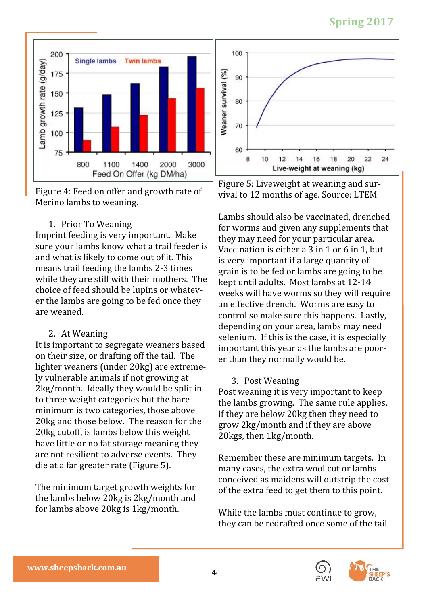# **Spring 2017**



Figure 4: Feed on offer and growth rate of wival to 12 months of age. Source: LTEM Merino lambs to weaning.

choice of feed should be lupins or whatever the lambs are going to be fed once they

lighter weaners (under 20kg) are extreme-<br>ly vulnerable animals if not growing at ly vulnerable animals if not growing at  $\begin{array}{ccc} 3. & \text{Post Weaning} \end{array}$ 2kg/month. Ideally they would be split into three weight categories but the bare to three weight categories but the bare the lambs growing. The same rule applies, minimum is two categories, those above firely are below 20kg then they need to 20kg and those below. The reason for the grow 2kg/month and if they are above 20kg cutoff, is lambs below this weight  $20 \text{kgs}$ , then 1kg/month. have little or no fat storage meaning they have all the storage states  $\vert$ are not resilient to adverse events. They  $\overline{R}$  Remember these are minimum targets. In

the lambs below 20kg is 2kg/month and



Figure 5: Liveweight at weaning and sur-<br>vival to 12 months of age. Source: LTEM vival to 12 months of age. Source: LTEM

1. Prior To Weaning the contraction of the for worms and given any supplements that Imprint feeding is very important. Make they may need for your particular area. sure your lambs know what a trail feeder is  $V_{\rm accination}$  is either a 3 in 1 or 6 in 1, but  $\blacksquare$ and what is likely to come out of it. This  $\frac{1}{2}$  is very important if a large quantity of means trail feeding the lambs 2-3 times  $\frac{1}{2}$  grain is to be fed or lambs are going to be while they are still with their mothers. The leept until adults. Most lambs at 12-14 er the lambs are going to be fed once they an effective drench. Worms are easy to are weaned. The control so make sure this happens. Lastly, 2. At Weaning the selenium. If this is the case, it is especially It is important to segregate weaners based important this year as the lambs are pooron their size, or drafting off the tail. The er than they normally would be. Lambs should also be vaccinated, drenched for worms and given any supplements that they may need for your particular area. Vaccination is either a 3 in 1 or 6 in 1, but is very important if a large quantity of grain is to be fed or lambs are going to be kept until adults. Most lambs at 12-14 weeks will have worms so they will require an effective drench. Worms are easy to control so make sure this happens. Lastly, depending on your area, lambs may need selenium. If this is the case, it is especially **the part of the set of the set of** important this year as the lambs are poor-<br>er than they normally would be. er than they normally would be.

# 3. Post Weaning

Post weaning it is very important to keep  $\begin{array}{|c|c|} \hline \end{array}$ the lambs growing. The same rule applies, **the fi** if they are below 20kg then they need to grow 2kg/month and if they are above 20kgs, then 1kg/month.

die at a far greater rate (Figure 5). The many cases, the extra wool cut or lambs The minimum target growth weights for of the extra feed to get them to this point. Remember these are minimum targets. In many cases, the extra wool cut or lambs conceived as maidens will outstrip the cost of the extra feed to get them to this point.

for lambs above 20kg is 1kg/month. While the lambs must continue to grow, While the lambs must continue to grow, **the property** they can be redrafted once some of the tail



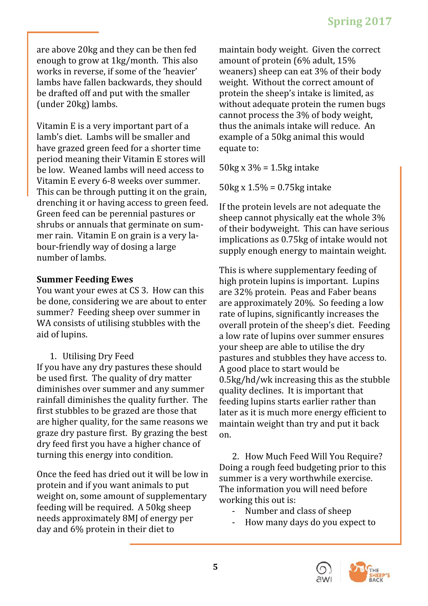Vitamin E is a very important part of a statutus the animals intake will reduce. An lamb's diet. Lambs will be smaller and have grazed green feed for a shorter time period meaning their Vitamin E stores will report to a set of the line of the line of the line of the line of the line of the line of the line of the line of the line of the line of the line of the line of the line of the be low. Weaned lambs will need access to  $\frac{30 \text{ K}}{200}$  by  $\frac{300 - 1.5 \text{ kg}}{200}$  litake Vitamin E every 6-8 weeks over summer.  $50kg \times 15\% = 0.75kg$  intake This can be through putting it on the grain, the congression on any matter of the problem. drenching it or having access to green feed. If the protein levels are not adequate the shrubs or annuals that germinate on summer rain. Vitamin E on grain is a very la-<br>bour-friendly way of dosing a large number of lambs. The contract of the contract of the contract of the contract of the contract of the contract of the contract of the contract of the contract of the contract of the contract of the contract of the contract

dry feed first you have a higher chance of the state of the state  $\mathbf x$  of the state  $\mathbf x$ 

Once the feed has dried out it will be low in  $\frac{1}{2}$  summer is a very worthwhile exercise. protein and if you want animals to put The information you will need before weight on, some amount of supplementary working this out is: feeding will be required. A 50kg sheep for the sumber and class of sheep needs approximately 8MJ of energy per Theory Many days do you expect to day and 6% protein in their diet to

are above 20kg and they can be then fed enough to grow at 1kg/month. This also works in reverse, if some of the 'heavier' lambs have fallen backwards, they should be drafted off and put with the smaller  $\qquad \qquad \text{protein the sheep's intake is limited, as}$ (under 20kg) lambs. maintain body weight. Given the correct amount of protein (6% adult, 15% weaners) sheep can eat 3% of their body weight. Without the correct amount of protein the sheep's intake is limited, as without adequate protein the rumen bugs cannot process the 3% of body weight, thus the animals intake will reduce. An example of a 50kg animal this would equate to:  $\blacksquare$ 

 $50\text{kg} \times 3\% = 1.5\text{kg}$  intake

 $50kg \times 1.5\% = 0.75kg$  intake

Green feed can be perennial pastures or sheep cannot physically eat the whole 3% bour-friendly way of dosing a large supply enough energy to maintain weight. If the protein levels are not adequate the sheep cannot physically eat the whole 3% of their bodyweight. This can have serious implications as 0.75kg of intake would not supply enough energy to maintain weight.

**Summer Feeding Ewes Example 20 Example 20 results in the Summer Feeding Ewes Example 20 results in the Summer Europe 20 results in the Summer Europe 20 results in the Summer Europe 20 results in the Summer Europe 30** You want your ewes at CS 3. How can this are 32% protein. Peas and Faber beans be done, considering we are about to enter are approximately 20%. So feeding a low summer? Feeding sheep over summer in final rate of lupins, significantly increases the WA consists of utilising stubbles with the coverall protein of the sheep's diet. Feeding aid of lupins. The same control of the same control of lupins over summer ensures 1. Utilising Dry Feed **the pastures and stubbles they have access to.** If you have any dry pastures these should  $\qquad$  A good place to start would be be used first. The quality of dry matter  $\qquad 0.5\text{kg/hd/wk}$  increasing this as the stubble diminishes over summer and any summer quality declines. It is important that rainfall diminishes the quality further. The feeding lupins starts earlier rather than first stubbles to be grazed are those that heliater as it is much more energy efficient to heliate. are higher quality, for the same reasons we maintain weight than try and put it back graze dry pasture first. By grazing the best on. This is where supplementary feeding of **The U** high protein lupins is important. Lupins are 32% protein. Peas and Faber beans are approximately 20%. So feeding a low rate of lupins, significantly increases the overall protein of the sheep's diet. Feeding a low rate of lupins over summer ensures your sheep are able to utilise the dry pastures and stubbles they have access to. A good place to start would be a sequence of  $\vert$ 0.5kg/hd/wk increasing this as the stubble quality declines. It is important that feeding lupins starts earlier rather than later as it is much more energy efficient to maintain weight than try and put it back **than** on.

turning this energy into condition. 2. How Much Feed Will You Require? <mark>I</mark> 2. How Much Feed Will You Require?  $\begin{array}{|c|c|} \hline \end{array}$ Doing a rough feed budgeting prior to this summer is a very worthwhile exercise. The information you will need before **The information** working this out is:

- Number and class of sheep **Fig. 1.**
- How many days do you expect to

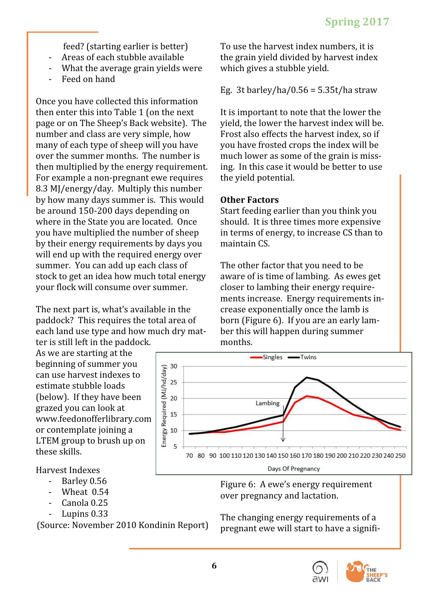- 
- 
- Feed on hand

Once you have collected this information then enter this into Table 1 (on the next page or on The Sheep's Back website). The yield, the lower the harvest index will be. number and class are very simple, how many of each type of sheep will you have you have frosted crops the index will be over the summer months. The number is homich lower as some of the grain is missthen multiplied by the energy requirement. ing. In this case it would be better to use For example a non-pregnant ewe requires the yield potential. 8.3 MJ/energy/day. Multiply this number by how many days summer is. This would **Other Factors Example 2** be around 150-200 days depending on start feeding earlier than you think you where in the State you are located. Once you have multiplied the number of sheep  $\qquad \quad \text{in terms of energy, to increase CS than to}$ by their energy requirements by days you and maintain CS. will end up with the required energy over **the control of the control of the control** of  $\blacksquare$ summer. You can add up each class of fight the other factor that you need to be fight  $\begin{bmatrix} 1 & 0 \end{bmatrix}$ stock to get an idea how much total energy — aware of is time of lambing. As ewes get

The next part is, what's available in the crease exponentially once the lamb is **the part is the set of the** paddock? This requires the total area of each land use type and how much dry mat-<br>ter is still left in the paddock.

- 
- 
- Canola 0.25
- 

 feed? (starting earlier is better) - Areas of each stubble available - What the average grain yields were To use the harvest index numbers, it is the grain yield divided by harvest index which gives a stubble yield.

Eg. 3t barley/ha/0.56 = 5.35t/ha straw

It is important to note that the lower the yield, the lower the harvest index will be. Frost also effects the harvest index, so if you have frosted crops the index will be much lower as some of the grain is miss-<br>ing. In this case it would be better to use ing. In this case it would be better to use the yield potential.

## **Other Factors**

Start feeding earlier than you think you should. It is three times more expensive in terms of energy, to increase CS than to maintain CS.

your flock will consume over summer.  $\hskip1cm$  closer to lambing their energy require-  $\hskip1cm \vert$ ter is still left in the paddock. The months. The months of  $\mathbb{R}^n$ The other factor that you need to be **the part of the struck** aware of is time of lambing. As ewes get closer to lambing their energy requirements increase. Energy requirements increase exponentially once the lamb is crease exponentially once the lamb is born (Figure 6). If you are an early lamber this will happen during summer ber this will happen during summer months.



- Barley 0.56 - Wheat 0.54 cover pregnancy and lactation. Figure 6: A ewe's energy requirement over pregnancy and lactation.

- Lupins 0.33 The changing energy requirements of a (Source: November 2010 Kondinin Report) pregnant ewe will start to have a signifi-The changing energy requirements of a pregnant ewe will start to have a signifi-

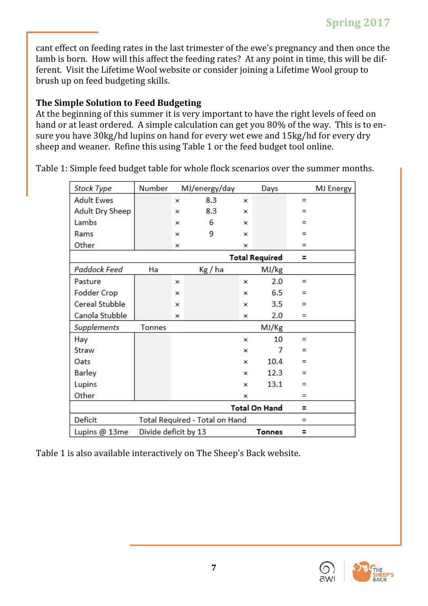cant effect on feeding rates in the last trimester of the ewe's pregnancy and then once the lamb is born. How will this affect the feeding rates? At any point in time, this will be different. Visit the Lifetime Wool website or consider joining a Lifetime Wool group to ferent. Visit the Lifetime Wool website or consider joining a Lifetime Wool group to brush up on feed budgeting skills.

# **The Simple Solution to Feed Budgeting**

At the beginning of this summer it is very important to have the right levels of feed on hand or at least ordered. A simple calculation can get you 80% of the way. This is to ensure you have 30kg/hd lupins on hand for every wet ewe and 15kg/hd for every dry sure you have 30kg/hd lupins on hand for every wet ewe and 15kg/hd for every dry sheep and weaner. Refine this using Table 1 or the feed budget tool online.

| Stock Type           | Number                         | MJ/energy/day |       |                           | Days          |          | <b>MJ Energy</b> |  |  |
|----------------------|--------------------------------|---------------|-------|---------------------------|---------------|----------|------------------|--|--|
| <b>Adult Ewes</b>    |                                | ×             | 8.3   | $\mathsf{x}$              |               | $=$      |                  |  |  |
| Adult Dry Sheep      |                                | ×             | 8.3   | $\times$                  |               | ۳        |                  |  |  |
| Lambs                |                                | ×             | 6     | $\times$                  |               | $=$      |                  |  |  |
| Rams                 |                                | ×             | 9     | $\boldsymbol{\mathsf{x}}$ |               | $=$      |                  |  |  |
| Other                |                                | ×             |       | ×                         |               | H,       |                  |  |  |
|                      | <b>Total Required</b>          |               |       |                           |               |          |                  |  |  |
| Paddock Feed         | Ha                             |               | Kg/ha |                           | MJ/kg         |          |                  |  |  |
| Pasture              |                                | ×             |       | $\boldsymbol{\mathsf{x}}$ | 2.0           | $=$      |                  |  |  |
| Fodder Crop          |                                | ×             |       | ×                         | 6.5           | H,       |                  |  |  |
| Cereal Stubble       |                                | $\times$      |       | $\times$                  | 3.5           | $\equiv$ |                  |  |  |
| Canola Stubble       |                                | ×             |       | $\times$                  | 2.0           | $=$      |                  |  |  |
| Supplements          | Tonnes                         |               |       |                           | MJ/Kg         |          |                  |  |  |
| Hay                  |                                |               |       | ×                         | 10            | $\equiv$ |                  |  |  |
| Straw                |                                |               |       | ×                         | 7             | Ξ.       |                  |  |  |
| Oats                 |                                |               |       | $\times$                  | 10.4          | I.       |                  |  |  |
| Barley               |                                |               |       | ×                         | 12.3          | $=$      |                  |  |  |
| Lupins               |                                |               |       | $\times$                  | 13.1          | E)       |                  |  |  |
| Other                |                                |               |       | $\mathsf{x}$              |               | $=$      |                  |  |  |
| <b>Total On Hand</b> |                                |               |       |                           |               |          |                  |  |  |
| Deficit              | Total Required - Total on Hand |               |       |                           |               | $=$      |                  |  |  |
| Lupins @ 13me        | Divide deficit by 13           |               |       |                           | <b>Tonnes</b> | Ξ        |                  |  |  |

Table 1: Simple feed budget table for whole flock scenarios over the summer months.

Table 1 is also available interactively on The Sheep's Back website.